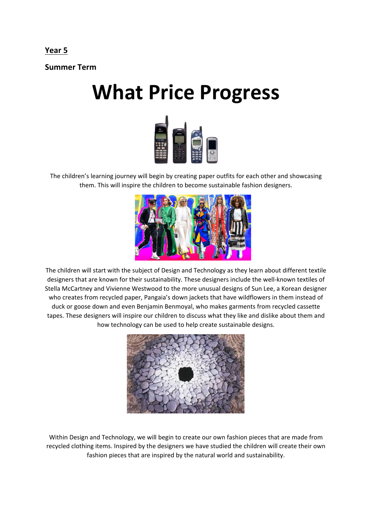## **Year 5**

**Summer Term** 

## **What Price Progress**



The children's learning journey will begin by creating paper outfits for each other and showcasing them. This will inspire the children to become sustainable fashion designers.



The children will start with the subject of Design and Technology as they learn about different textile designers that are known for their sustainability. These designers include the well-known textiles of Stella McCartney and Vivienne Westwood to the more unusual designs of Sun Lee, a Korean designer who creates from recycled paper, Pangaia's down jackets that have wildflowers in them instead of duck or goose down and even Benjamin Benmoyal, who makes garments from recycled cassette tapes. These designers will inspire our children to discuss what they like and dislike about them and how technology can be used to help create sustainable designs.



Within Design and Technology, we will begin to create our own fashion pieces that are made from recycled clothing items. Inspired by the designers we have studied the children will create their own fashion pieces that are inspired by the natural world and sustainability.